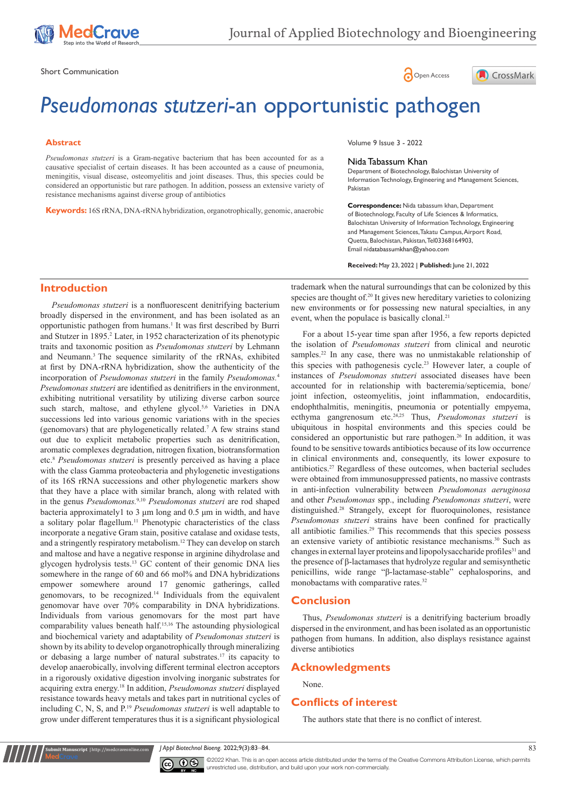

Short Communication and the state of the state of the state of the Spen Access of Open Access





# *Pseudomonas stutzeri*-an opportunistic pathogen

#### **Abstract**

*Pseudomonas stutzeri* is a Gram-negative bacterium that has been accounted for as a causative specialist of certain diseases. It has been accounted as a cause of pneumonia, meningitis, visual disease, osteomyelitis and joint diseases. Thus, this species could be considered an opportunistic but rare pathogen. In addition, possess an extensive variety of resistance mechanisms against diverse group of antibiotics

**Keywords:** 16S rRNA, DNA-rRNA hybridization, organotrophically, genomic, anaerobic

Volume 9 Issue 3 - 2022

#### Nida Tabassum Khan

Department of Biotechnology, Balochistan University of Information Technology, Engineering and Management Sciences, Pakistan

**Correspondence:** Nida tabassum khan, Department of Biotechnology, Faculty of Life Sciences & Informatics, Balochistan University of Information Technology, Engineering and Management Sciences, Takatu Campus, Airport Road, Quetta, Balochistan, Pakistan, Tel03368164903, Email nidatabassumkhan@yahoo.com

**Received:** May 23, 2022 | **Published:** June 21, 2022

## **Introduction**

*Pseudomonas stutzeri* is a nonfluorescent denitrifying bacterium broadly dispersed in the environment, and has been isolated as an opportunistic pathogen from humans.<sup>1</sup> It was first described by Burri and Stutzer in 1895.<sup>2</sup> Later, in 1952 characterization of its phenotypic traits and taxonomic position as *Pseudomonas stutzeri* by Lehmann and Neumann.<sup>3</sup> The sequence similarity of the rRNAs, exhibited at first by DNA-rRNA hybridization, show the authenticity of the incorporation of *Pseudomonas stutzeri* in the family *Pseudomonas.*<sup>4</sup> *Pseudomonas stutzeri* are identified as denitrifiers in the environment, exhibiting nutritional versatility by utilizing diverse carbon source such starch, maltose, and ethylene glycol.<sup>5,6</sup> Varieties in DNA successions led into various genomic variations with in the species (genomovars) that are phylogenetically related.<sup>7</sup> A few strains stand out due to explicit metabolic properties such as denitrification, aromatic complexes degradation, nitrogen fixation, biotransformation etc.8  *Pseudomonas stutzeri* is presently perceived as having a place with the class Gamma proteobacteria and phylogenetic investigations of its 16S rRNA successions and other phylogenetic markers show that they have a place with similar branch, along with related with in the genus *Pseudomonas.*9,10 *Pseudomonas stutzeri* are rod shaped bacteria approximately1 to 3 μm long and 0.5 μm in width, and have a solitary polar flagellum.<sup>11</sup> Phenotypic characteristics of the class incorporate a negative Gram stain, positive catalase and oxidase tests, and a stringently respiratory metabolism.<sup>12</sup> They can develop on starch and maltose and have a negative response in arginine dihydrolase and glycogen hydrolysis tests.<sup>13</sup> GC content of their genomic DNA lies somewhere in the range of 60 and 66 mol% and DNA hybridizations empower somewhere around 17 genomic gatherings, called genomovars, to be recognized.<sup>14</sup> Individuals from the equivalent genomovar have over 70% comparability in DNA hybridizations. Individuals from various genomovars for the most part have comparability values beneath half.15,16 The astounding physiological and biochemical variety and adaptability of *Pseudomonas stutzeri* is shown by its ability to develop organotrophically through mineralizing or debasing a large number of natural substrates.<sup>17</sup> its capacity to develop anaerobically, involving different terminal electron acceptors in a rigorously oxidative digestion involving inorganic substrates for acquiring extra energy.18 In addition, *Pseudomonas stutzeri* displayed resistance towards heavy metals and takes part in nutritional cycles of including C, N, S, and P.19 *Pseudomonas stutzeri* is well adaptable to grow under different temperatures thus it is a significant physiological

trademark when the natural surroundings that can be colonized by this species are thought of.<sup>20</sup> It gives new hereditary varieties to colonizing new environments or for possessing new natural specialties, in any event, when the populace is basically clonal.<sup>21</sup>

For a about 15-year time span after 1956, a few reports depicted the isolation of *Pseudomonas stutzeri* from clinical and neurotic samples.<sup>22</sup> In any case, there was no unmistakable relationship of this species with pathogenesis cycle.<sup>23</sup> However later, a couple of instances of *Pseudomonas stutzeri* associated diseases have been accounted for in relationship with bacteremia/septicemia, bone/ joint infection, osteomyelitis, joint inflammation, endocarditis, endophthalmitis, meningitis, pneumonia or potentially empyema, ecthyma gangrenosum etc.24,25 Thus, *Pseudomonas stutzeri* is ubiquitous in hospital environments and this species could be considered an opportunistic but rare pathogen.<sup>26</sup> In addition, it was found to be sensitive towards antibiotics because of its low occurrence in clinical environments and, consequently, its lower exposure to antibiotics.<sup>27</sup> Regardless of these outcomes, when bacterial secludes were obtained from immunosuppressed patients, no massive contrasts in anti-infection vulnerability between *Pseudomonas aeruginosa* and other *Pseudomonas* spp., including *Pseudomonas stutzeri*, were distinguished.28 Strangely, except for fluoroquinolones, resistance *Pseudomonas stutzeri* strains have been confined for practically all antibiotic families.29 This recommends that this species possess an extensive variety of antibiotic resistance mechanisms.<sup>30</sup> Such as changes in external layer proteins and lipopolysaccharide profiles<sup>31</sup> and the presence of β-lactamases that hydrolyze regular and semisynthetic penicillins, wide range "β-lactamase-stable" cephalosporins, and monobactams with comparative rates.<sup>32</sup>

#### **Conclusion**

Thus, *Pseudomonas stutzeri* is a denitrifying bacterium broadly dispersed in the environment, and has been isolated as an opportunistic pathogen from humans. In addition, also displays resistance against diverse antibiotics

### **Acknowledgments**

None.

#### **Conflicts of interest**

The authors state that there is no conflict of interest.

*J Appl Biotechnol Bioeng.* 2022;9(3):83‒84. 83



**It Manuscript** | http://medcraveonline.c

©2022 Khan. This is an open access article distributed under the terms of the Creative Commons Attribution License, which permits unrestricted use, distribution, and build upon your work non-commercially.